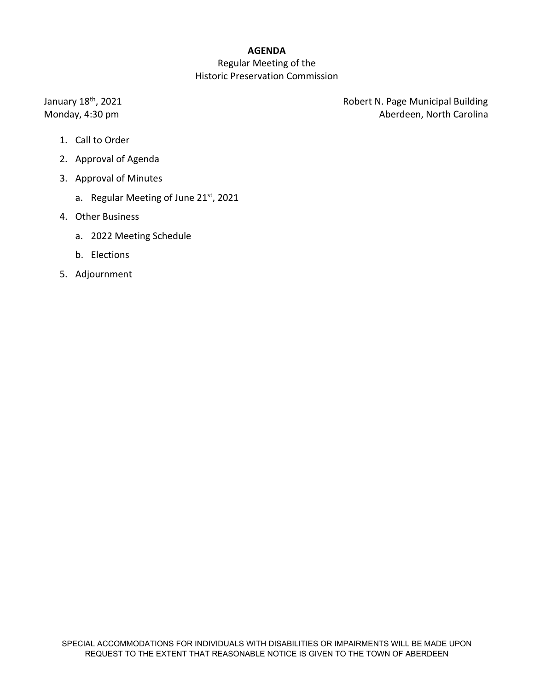# **AGENDA**

# Regular Meeting of the Historic Preservation Commission

January 18<sup>th</sup>, 2021 **Automatic Exception Control Control Control Control Control Control Control Control Control Control Control Control Control Control Control Control Control Control Control Control Control Control Cont** Monday, 4:30 pm **Aberdeen**, North Carolina

- 1. Call to Order
- 2. Approval of Agenda
- 3. Approval of Minutes
	- a. Regular Meeting of June 21st, 2021
- 4. Other Business
	- a. 2022 Meeting Schedule
	- b. Elections
- 5. Adjournment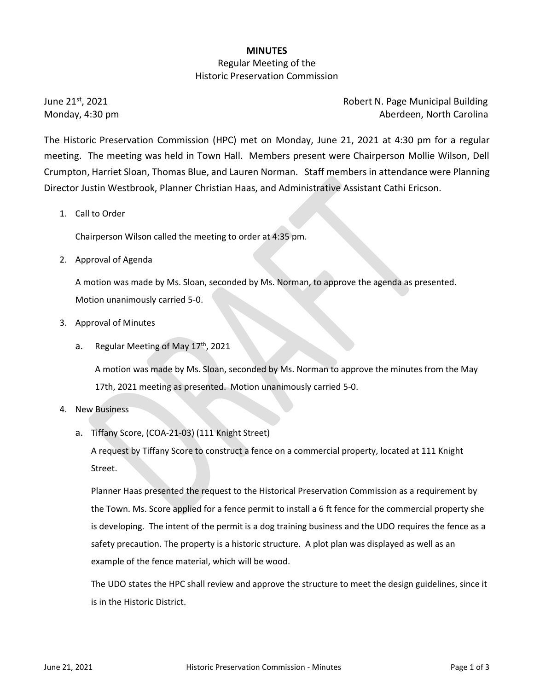### **MINUTES**

## Regular Meeting of the Historic Preservation Commission

June 21<sup>st</sup>, 2021 **Robert N. Page Municipal Building** Monday, 4:30 pm **Aberdeen, North Carolina** 

The Historic Preservation Commission (HPC) met on Monday, June 21, 2021 at 4:30 pm for a regular meeting. The meeting was held in Town Hall. Members present were Chairperson Mollie Wilson, Dell Crumpton, Harriet Sloan, Thomas Blue, and Lauren Norman. Staff members in attendance were Planning Director Justin Westbrook, Planner Christian Haas, and Administrative Assistant Cathi Ericson.

## 1. Call to Order

Chairperson Wilson called the meeting to order at 4:35 pm.

2. Approval of Agenda

A motion was made by Ms. Sloan, seconded by Ms. Norman, to approve the agenda as presented. Motion unanimously carried 5-0.

- 3. Approval of Minutes
	- a. Regular Meeting of May  $17<sup>th</sup>$ , 2021

A motion was made by Ms. Sloan, seconded by Ms. Norman to approve the minutes from the May 17th, 2021 meeting as presented. Motion unanimously carried 5-0.

### 4. New Business

a. Tiffany Score, (COA-21-03) (111 Knight Street)

A request by Tiffany Score to construct a fence on a commercial property, located at 111 Knight Street.

Planner Haas presented the request to the Historical Preservation Commission as a requirement by the Town. Ms. Score applied for a fence permit to install a 6 ft fence for the commercial property she is developing. The intent of the permit is a dog training business and the UDO requires the fence as a safety precaution. The property is a historic structure. A plot plan was displayed as well as an example of the fence material, which will be wood.

The UDO states the HPC shall review and approve the structure to meet the design guidelines, since it is in the Historic District.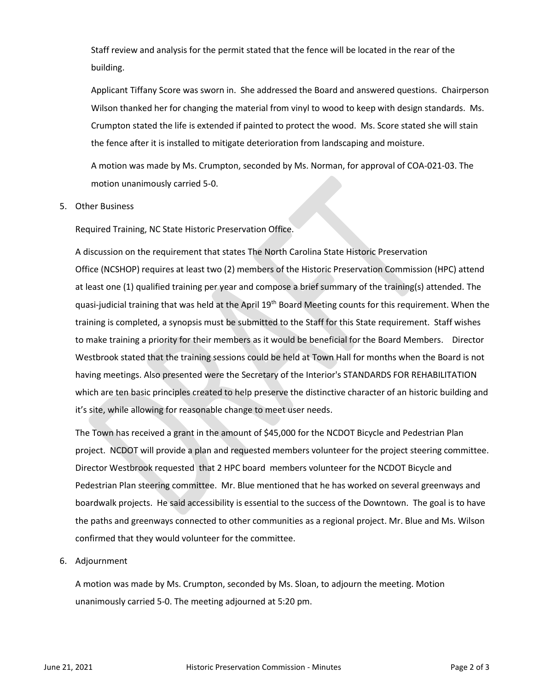Staff review and analysis for the permit stated that the fence will be located in the rear of the building.

Applicant Tiffany Score was sworn in. She addressed the Board and answered questions. Chairperson Wilson thanked her for changing the material from vinyl to wood to keep with design standards. Ms. Crumpton stated the life is extended if painted to protect the wood. Ms. Score stated she will stain the fence after it is installed to mitigate deterioration from landscaping and moisture.

A motion was made by Ms. Crumpton, seconded by Ms. Norman, for approval of COA-021-03. The motion unanimously carried 5-0.

#### 5. Other Business

Required Training, NC State Historic Preservation Office.

A discussion on the requirement that states The North Carolina State Historic Preservation Office (NCSHOP) requires at least two (2) members of the Historic Preservation Commission (HPC) attend at least one (1) qualified training per year and compose a brief summary of the training(s) attended. The quasi-judicial training that was held at the April 19th Board Meeting counts for this requirement. When the training is completed, a synopsis must be submitted to the Staff for this State requirement. Staff wishes to make training a priority for their members as it would be beneficial for the Board Members. Director Westbrook stated that the training sessions could be held at Town Hall for months when the Board is not having meetings. Also presented were the Secretary of the Interior's STANDARDS FOR REHABILITATION which are ten basic principles created to help preserve the distinctive character of an historic building and it's site, while allowing for reasonable change to meet user needs.

The Town has received a grant in the amount of \$45,000 for the NCDOT Bicycle and Pedestrian Plan project. NCDOT will provide a plan and requested members volunteer for the project steering committee. Director Westbrook requested that 2 HPC board members volunteer for the NCDOT Bicycle and Pedestrian Plan steering committee. Mr. Blue mentioned that he has worked on several greenways and boardwalk projects. He said accessibility is essential to the success of the Downtown. The goal is to have the paths and greenways connected to other communities as a regional project. Mr. Blue and Ms. Wilson confirmed that they would volunteer for the committee.

#### 6. Adjournment

A motion was made by Ms. Crumpton, seconded by Ms. Sloan, to adjourn the meeting. Motion unanimously carried 5-0. The meeting adjourned at 5:20 pm.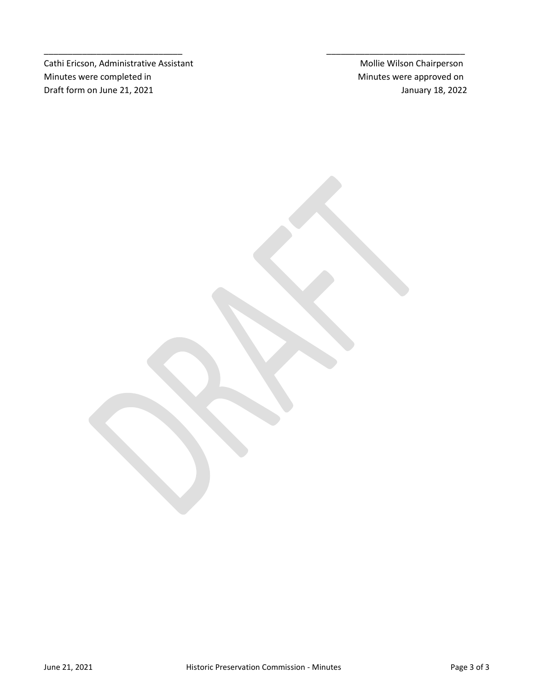Cathi Ericson, Administrative Assistant Mollie Wilson Chairperson Minutes were completed in Minutes were approved on Draft form on June 21, 2021 **Draft form on June 21, 2022** 

\_\_\_\_\_\_\_\_\_\_\_\_\_\_\_\_\_\_\_\_\_\_\_\_\_\_\_\_\_ \_\_\_\_\_\_\_\_\_\_\_\_\_\_\_\_\_\_\_\_\_\_\_\_\_\_\_\_\_